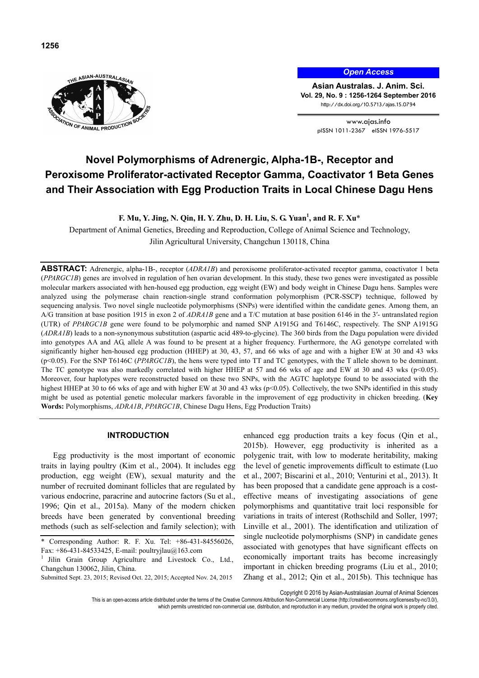

*Open Access*

**Asian Australas. J. Anim. Sci. Vol. 29, No. 9 : 1256-1264 September 2016** http://dx.doi.org/10.5713/ajas.15.0794

> www.ajas.info pISSN 1011-2367 eISSN 1976-5517

# **Novel Polymorphisms of Adrenergic, Alpha-1B-, Receptor and Peroxisome Proliferator-activated Receptor Gamma, Coactivator 1 Beta Genes and Their Association with Egg Production Traits in Local Chinese Dagu Hens**

**F. Mu, Y. Jing, N. Qin, H. Y. Zhu, D. H. Liu, S. G. Yuan1 , and R. F. Xu**\*

Department of Animal Genetics, Breeding and Reproduction, College of Animal Science and Technology, Jilin Agricultural University, Changchun 130118, China

**ABSTRACT:** Adrenergic, alpha-1B-, receptor (*ADRA1B*) and peroxisome proliferator-activated receptor gamma, coactivator 1 beta (*PPARGC1B*) genes are involved in regulation of hen ovarian development. In this study, these two genes were investigated as possible molecular markers associated with hen-housed egg production, egg weight (EW) and body weight in Chinese Dagu hens. Samples were analyzed using the polymerase chain reaction-single strand conformation polymorphism (PCR-SSCP) technique, followed by sequencing analysis. Two novel single nucleotide polymorphisms (SNPs) were identified within the candidate genes. Among them, an A/G transition at base position 1915 in exon 2 of *ADRA1B* gene and a T/C mutation at base position 6146 in the 3′- untranslated region (UTR) of *PPARGC1B* gene were found to be polymorphic and named SNP A1915G and T6146C, respectively. The SNP A1915G (*ADRA1B*) leads to a non-synonymous substitution (aspartic acid 489-to-glycine). The 360 birds from the Dagu population were divided into genotypes AA and AG, allele A was found to be present at a higher frequency. Furthermore, the AG genotype correlated with significantly higher hen-housed egg production (HHEP) at 30, 43, 57, and 66 wks of age and with a higher EW at 30 and 43 wks (p<0.05). For the SNP T6146C (*PPARGC1B*), the hens were typed into TT and TC genotypes, with the T allele shown to be dominant. The TC genotype was also markedly correlated with higher HHEP at 57 and 66 wks of age and EW at 30 and 43 wks ( $p$ <0.05). Moreover, four haplotypes were reconstructed based on these two SNPs, with the AGTC haplotype found to be associated with the highest HHEP at 30 to 66 wks of age and with higher EW at 30 and 43 wks (p<0.05). Collectively, the two SNPs identified in this study might be used as potential genetic molecular markers favorable in the improvement of egg productivity in chicken breeding. (**Key Words:** Polymorphisms, *ADRA1B*, *PPARGC1B*, Chinese Dagu Hens, Egg Production Traits)

# **INTRODUCTION**

Egg productivity is the most important of economic traits in laying poultry (Kim et al., 2004). It includes egg production, egg weight (EW), sexual maturity and the number of recruited dominant follicles that are regulated by various endocrine, paracrine and autocrine factors (Su et al., 1996; Qin et al., 2015a). Many of the modern chicken breeds have been generated by conventional breeding methods (such as self-selection and family selection); with enhanced egg production traits a key focus (Qin et al., 2015b). However, egg productivity is inherited as a polygenic trait, with low to moderate heritability, making the level of genetic improvements difficult to estimate (Luo et al., 2007; Biscarini et al., 2010; Venturini et al., 2013). It has been proposed that a candidate gene approach is a costeffective means of investigating associations of gene polymorphisms and quantitative trait loci responsible for variations in traits of interest (Rothschild and Soller, 1997; Linville et al., 2001). The identification and utilization of single nucleotide polymorphisms (SNP) in candidate genes associated with genotypes that have significant effects on economically important traits has become increasingly important in chicken breeding programs (Liu et al., 2010; Zhang et al., 2012; Qin et al., 2015b). This technique has

Copyright © 2016 by Asian-Australasian Journal of Animal Sciences

which permits unrestricted non-commercial use, distribution, and reproduction in any medium, provided the original work is properly cited.

Corresponding Author: R. F. Xu. Tel: +86-431-84556026, Fax: +86-431-84533425, E-mail: poultryjlau@163.com

<sup>&</sup>lt;sup>1</sup> Jilin Grain Group Agriculture and Livestock Co., Ltd., Changchun 130062, Jilin, China.

Submitted Sept. 23, 2015; Revised Oct. 22, 2015; Accepted Nov. 24, 2015

This is an open-access article distributed under the terms of the Creative Commons Attribution Non-Commercial License (http://creativecommons.org/licenses/by-nc/3.0/),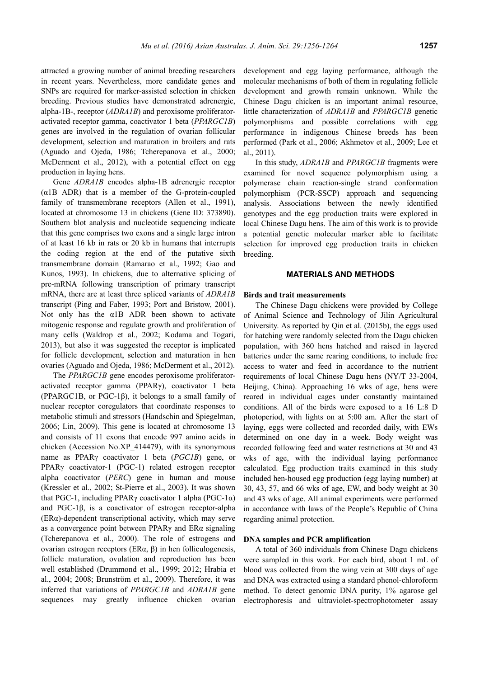attracted a growing number of animal breeding researchers in recent years. Nevertheless, more candidate genes and SNPs are required for marker-assisted selection in chicken breeding. Previous studies have demonstrated adrenergic, alpha-1B-, receptor (*ADRA1B*) and peroxisome proliferatoractivated receptor gamma, coactivator 1 beta (*PPARGC1B*) genes are involved in the regulation of ovarian follicular development, selection and maturation in broilers and rats (Aguado and Ojeda, 1986; Tcherepanova et al., 2000; McDerment et al., 2012), with a potential effect on egg production in laying hens.

Gene *ADRA1B* encodes alpha-1B adrenergic receptor  $(a1B$  ADR) that is a member of the G-protein-coupled family of transmembrane receptors (Allen et al., 1991), located at chromosome 13 in chickens (Gene ID: 373890). Southern blot analysis and nucleotide sequencing indicate that this gene comprises two exons and a single large intron of at least 16 kb in rats or 20 kb in humans that interrupts the coding region at the end of the putative sixth transmembrane domain (Ramarao et al., 1992; Gao and Kunos, 1993). In chickens, due to alternative splicing of pre-mRNA following transcription of primary transcript mRNA, there are at least three spliced variants of *ADRA1B* transcript (Ping and Faber, 1993; Port and Bristow, 2001). Not only has the α1B ADR been shown to activate mitogenic response and regulate growth and proliferation of many cells (Waldrop et al., 2002; Kodama and Togari, 2013), but also it was suggested the receptor is implicated for follicle development, selection and maturation in hen ovaries (Aguado and Ojeda, 1986; McDerment et al., 2012).

The *PPARGC1B* gene encodes peroxisome proliferatoractivated receptor gamma (PPARγ), coactivator 1 beta (PPARGC1B, or PGC-1β), it belongs to a small family of nuclear receptor coregulators that coordinate responses to metabolic stimuli and stressors (Handschin and Spiegelman, 2006; Lin, 2009). This gene is located at chromosome 13 and consists of 11 exons that encode 997 amino acids in chicken (Accession No.XP\_414479), with its synonymous name as PPARγ coactivator 1 beta (*PGC1B*) gene, or PPARγ coactivator-1 (PGC-1) related estrogen receptor alpha coactivator (*PERC*) gene in human and mouse (Kressler et al., 2002; St-Pierre et al., 2003). It was shown that PGC-1, including PPARγ coactivator 1 alpha (PGC-1α) and PGC-1β, is a coactivator of estrogen receptor-alpha (ERα)-dependent transcriptional activity, which may serve as a convergence point between PPARγ and ERα signaling (Tcherepanova et al., 2000). The role of estrogens and ovarian estrogen receptors (ERα, β) in hen folliculogenesis, follicle maturation, ovulation and reproduction has been well established (Drummond et al., 1999; 2012; Hrabia et al., 2004; 2008; Brunström et al., 2009). Therefore, it was inferred that variations of *PPARGC1B* and *ADRA1B* gene sequences may greatly influence chicken ovarian development and egg laying performance, although the molecular mechanisms of both of them in regulating follicle development and growth remain unknown. While the Chinese Dagu chicken is an important animal resource, little characterization of *ADRA1B* and *PPARGC1B* genetic polymorphisms and possible correlations with egg performance in indigenous Chinese breeds has been performed (Park et al., 2006; Akhmetov et al., 2009; Lee et al., 2011).

In this study, *ADRA1B* and *PPARGC1B* fragments were examined for novel sequence polymorphism using a polymerase chain reaction-single strand conformation polymorphism (PCR-SSCP) approach and sequencing analysis. Associations between the newly identified genotypes and the egg production traits were explored in local Chinese Dagu hens. The aim of this work is to provide a potential genetic molecular marker able to facilitate selection for improved egg production traits in chicken breeding.

## **MATERIALS AND METHODS**

## **Birds and trait measurements**

The Chinese Dagu chickens were provided by College of Animal Science and Technology of Jilin Agricultural University. As reported by Qin et al. (2015b), the eggs used for hatching were randomly selected from the Dagu chicken population, with 360 hens hatched and raised in layered batteries under the same rearing conditions, to include free access to water and feed in accordance to the nutrient requirements of local Chinese Dagu hens (NY/T 33-2004, Beijing, China). Approaching 16 wks of age, hens were reared in individual cages under constantly maintained conditions. All of the birds were exposed to a 16 L:8 D photoperiod, with lights on at 5:00 am. After the start of laying, eggs were collected and recorded daily, with EWs determined on one day in a week. Body weight was recorded following feed and water restrictions at 30 and 43 wks of age, with the individual laying performance calculated. Egg production traits examined in this study included hen-housed egg production (egg laying number) at 30, 43, 57, and 66 wks of age, EW, and body weight at 30 and 43 wks of age. All animal experiments were performed in accordance with laws of the People's Republic of China regarding animal protection.

#### **DNA samples and PCR amplification**

A total of 360 individuals from Chinese Dagu chickens were sampled in this work. For each bird, about 1 mL of blood was collected from the wing vein at 300 days of age and DNA was extracted using a standard phenol-chloroform method. To detect genomic DNA purity, 1% agarose gel electrophoresis and ultraviolet-spectrophotometer assay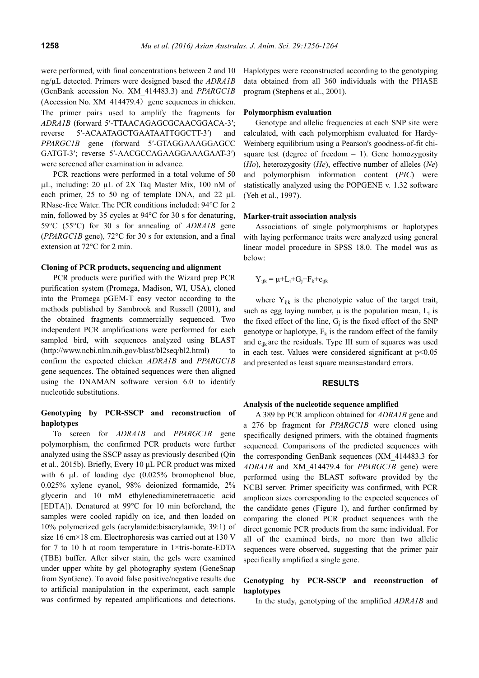were performed, with final concentrations between 2 and 10 ng/µL detected. Primers were designed based the *ADRA1B*  (GenBank accession No. XM\_414483.3) and *PPARGC1B*  $(Accession No. XM 414479.4)$  gene sequences in chicken. The primer pairs used to amplify the fragments for *ADRA1B* (forward 5′-TTAACAGAGCGCAACGGACA-3′; reverse 5′-ACAATAGCTGAATAATTGGCTT-3′) and *PPARGC1B* gene (forward 5′-GTAGGAAAGGAGCC GATGT-3′; reverse 5′-AACGCCAGAAGGAAAGAAT-3′) were screened after examination in advance.

PCR reactions were performed in a total volume of 50 µL, including: 20 µL of 2X Taq Master Mix, 100 nM of each primer, 25 to 50 ng of template DNA, and 22  $\mu$ L RNase-free Water. The PCR conditions included: 94°C for 2 min, followed by 35 cycles at 94°C for 30 s for denaturing, 59°C (55°C) for 30 s for annealing of *ADRA1B* gene (*PPARGC1B* gene), 72°C for 30 s for extension, and a final extension at 72°C for 2 min.

## **Cloning of PCR products, sequencing and alignment**

PCR products were purified with the Wizard prep PCR purification system (Promega, Madison, WI, USA), cloned into the Promega pGEM-T easy vector according to the methods published by Sambrook and Russell (2001), and the obtained fragments commercially sequenced. Two independent PCR amplifications were performed for each sampled bird, with sequences analyzed using BLAST (http://www.ncbi.nlm.nih.gov/blast/bl2seq/bl2.html) to confirm the expected chicken *ADRA1B* and *PPARGC1B* gene sequences. The obtained sequences were then aligned using the DNAMAN software version 6.0 to identify nucleotide substitutions.

# **Genotyping by PCR-SSCP and reconstruction of haplotypes**

To screen for *ADRA1B* and *PPARGC1B* gene polymorphism, the confirmed PCR products were further analyzed using the SSCP assay as previously described (Qin et al., 2015b). Briefly, Every 10 μL PCR product was mixed with 6 μL of loading dye (0.025% bromophenol blue, 0.025% xylene cyanol, 98% deionized formamide, 2% glycerin and 10 mM ethylenediaminetetraacetic acid [EDTA]). Denatured at 99°C for 10 min beforehand, the samples were cooled rapidly on ice, and then loaded on 10% polymerized gels (acrylamide:bisacrylamide, 39:1) of size 16 cm×18 cm. Electrophoresis was carried out at 130 V for 7 to 10 h at room temperature in 1×tris-borate-EDTA (TBE) buffer. After silver stain, the gels were examined under upper white by gel photography system (GeneSnap from SynGene). To avoid false positive/negative results due to artificial manipulation in the experiment, each sample was confirmed by repeated amplifications and detections.

Haplotypes were reconstructed according to the genotyping data obtained from all 360 individuals with the PHASE program (Stephens et al., 2001).

#### **Polymorphism evaluation**

Genotype and allelic frequencies at each SNP site were calculated, with each polymorphism evaluated for Hardy-Weinberg equilibrium using a Pearson's goodness-of-fit chisquare test (degree of freedom  $= 1$ ). Gene homozygosity (*Ho*), heterozygosity (*He*), effective number of alleles (*Ne*) and polymorphism information content (*PIC*) were statistically analyzed using the POPGENE v. 1.32 software (Yeh et al., 1997).

#### **Marker-trait association analysis**

Associations of single polymorphisms or haplotypes with laying performance traits were analyzed using general linear model procedure in SPSS 18.0. The model was as below:

$$
Y_{ijk} = \mu + L_i + G_j + F_k + e_{ijk}
$$

where  $Y_{ijk}$  is the phenotypic value of the target trait, such as egg laying number,  $\mu$  is the population mean,  $L_i$  is the fixed effect of the line,  $G_i$  is the fixed effect of the SNP genotype or haplotype,  $F_k$  is the random effect of the family and  $e_{ijk}$  are the residuals. Type III sum of squares was used in each test. Values were considered significant at  $p<0.05$ and presented as least square means±standard errors.

#### **RESULTS**

#### **Analysis of the nucleotide sequence amplified**

A 389 bp PCR amplicon obtained for *ADRA1B* gene and a 276 bp fragment for *PPARGC1B* were cloned using specifically designed primers, with the obtained fragments sequenced. Comparisons of the predicted sequences with the corresponding GenBank sequences (XM\_414483.3 for *ADRA1B* and XM\_414479.4 for *PPARGC1B* gene) were performed using the BLAST software provided by the NCBI server. Primer specificity was confirmed, with PCR amplicon sizes corresponding to the expected sequences of the candidate genes (Figure 1), and further confirmed by comparing the cloned PCR product sequences with the direct genomic PCR products from the same individual. For all of the examined birds, no more than two allelic sequences were observed, suggesting that the primer pair specifically amplified a single gene.

# **Genotyping by PCR-SSCP and reconstruction of haplotypes**

In the study, genotyping of the amplified *ADRA1B* and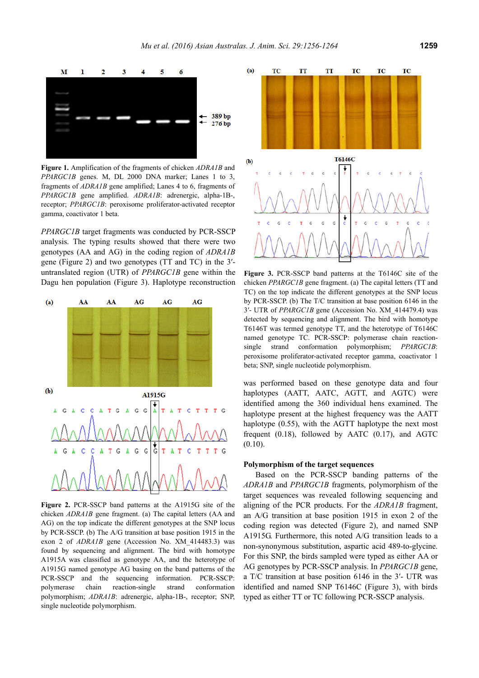

**Figure 1.** Amplification of the fragments of chicken *ADRA1B* and *PPARGC1B* genes. M, DL 2000 DNA marker; Lanes 1 to 3, fragments of *ADRA1B* gene amplified; Lanes 4 to 6, fragments of *PPARGC1B* gene amplified. *ADRA1B*: adrenergic, alpha-1B-, receptor; *PPARGC1B*: peroxisome proliferator-activated receptor gamma, coactivator 1 beta.

*PPARGC1B* target fragments was conducted by PCR-SSCP analysis. The typing results showed that there were two genotypes (AA and AG) in the coding region of *ADRA1B*  gene (Figure 2) and two genotypes (TT and TC) in the 3′ untranslated region (UTR) of *PPARGC1B* gene within the Dagu hen population (Figure 3). Haplotype reconstruction



**Figure 2.** PCR-SSCP band patterns at the A1915G site of the chicken *ADRA1B* gene fragment. (a) The capital letters (AA and AG) on the top indicate the different genotypes at the SNP locus by PCR-SSCP. (b) The A/G transition at base position 1915 in the exon 2 of *ADRA1B* gene (Accession No. XM\_414483.3) was found by sequencing and alignment. The bird with homotype A1915A was classified as genotype AA, and the heterotype of A1915G named genotype AG basing on the band patterns of the PCR-SSCP and the sequencing information. PCR-SSCP: polymerase chain reaction-single strand conformation polymorphism; *ADRA1B*: adrenergic, alpha-1B-, receptor; SNP, single nucleotide polymorphism.



**Figure 3.** PCR-SSCP band patterns at the T6146C site of the chicken *PPARGC1B* gene fragment. (a) The capital letters (TT and TC) on the top indicate the different genotypes at the SNP locus by PCR-SSCP. (b) The T/C transition at base position 6146 in the 3′- UTR of *PPARGC1B* gene (Accession No. XM\_414479.4) was detected by sequencing and alignment. The bird with homotype T6146T was termed genotype TT, and the heterotype of T6146C named genotype TC. PCR-SSCP: polymerase chain reactionsingle strand conformation polymorphism; *PPARGC1B*: peroxisome proliferator-activated receptor gamma, coactivator 1 beta; SNP, single nucleotide polymorphism.

was performed based on these genotype data and four haplotypes (AATT, AATC, AGTT, and AGTC) were identified among the 360 individual hens examined. The haplotype present at the highest frequency was the AATT haplotype (0.55), with the AGTT haplotype the next most frequent (0.18), followed by AATC (0.17), and AGTC  $(0.10)$ .

#### **Polymorphism of the target sequences**

Based on the PCR-SSCP banding patterns of the *ADRA1B* and *PPARGC1B* fragments, polymorphism of the target sequences was revealed following sequencing and aligning of the PCR products. For the *ADRA1B* fragment, an A/G transition at base position 1915 in exon 2 of the coding region was detected (Figure 2), and named SNP A1915G. Furthermore, this noted A/G transition leads to a non-synonymous substitution, aspartic acid 489-to-glycine. For this SNP, the birds sampled were typed as either AA or AG genotypes by PCR-SSCP analysis. In *PPARGC1B* gene, a T/C transition at base position 6146 in the 3′- UTR was identified and named SNP T6146C (Figure 3), with birds typed as either TT or TC following PCR-SSCP analysis.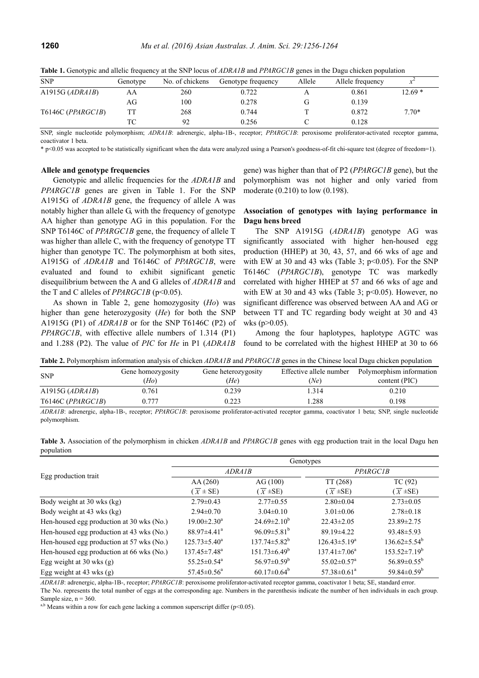| $\sim$ 1          |          |                 |                    |        |                  |          |
|-------------------|----------|-----------------|--------------------|--------|------------------|----------|
| <b>SNP</b>        | Genotype | No. of chickens | Genotype frequency | Allele | Allele frequency |          |
| A1915G $(ADRAIB)$ | AΑ       | 260             | 0.722              |        | 0.861            | $12.69*$ |
|                   | AG       | 100             | 0.278              |        | 0.139            |          |
| T6146C (PPARGC1B) |          | 268             | 0.744              |        | 0.872            | $7.70*$  |
|                   | ТC       |                 | 0.256              |        | 0.128            |          |

**Table 1.** Genotypic and allelic frequency at the SNP locus of *ADRA1B* and *PPARGC1B* genes in the Dagu chicken population

SNP, single nucleotide polymorphism; *ADRA1B*: adrenergic, alpha-1B-, receptor; *PPARGC1B*: peroxisome proliferator-activated receptor gamma, coactivator 1 beta.

\* p<0.05 was accepted to be statistically significant when the data were analyzed using a Pearson's goodness-of-fit chi-square test (degree of freedom=1).

#### **Allele and genotype frequencies**

Genotypic and allelic frequencies for the *ADRA1B* and *PPARGC1B* genes are given in Table 1. For the SNP A1915G of *ADRA1B* gene, the frequency of allele A was notably higher than allele G, with the frequency of genotype AA higher than genotype AG in this population. For the SNP T6146C of *PPARGC1B* gene, the frequency of allele T was higher than allele C, with the frequency of genotype TT higher than genotype TC. The polymorphism at both sites, A1915G of *ADRA1B* and T6146C of *PPARGC1B*, were evaluated and found to exhibit significant genetic disequilibrium between the A and G alleles of *ADRA1B* and the T and C alleles of *PPARGC1B* (p<0.05).

As shown in Table 2, gene homozygosity (*Ho*) was higher than gene heterozygosity (*He*) for both the SNP A1915G (P1) of *ADRA1B* or for the SNP T6146C (P2) of *PPARGC1B*, with effective allele numbers of 1.314 (P1) and 1.288 (P2). The value of *PIC* for *He* in P1 (*ADRA1B* gene) was higher than that of P2 (*PPARGC1B* gene), but the polymorphism was not higher and only varied from moderate (0.210) to low (0.198).

# **Association of genotypes with laying performance in Dagu hens breed**

The SNP A1915G (*ADRA1B*) genotype AG was significantly associated with higher hen-housed egg production (HHEP) at 30, 43, 57, and 66 wks of age and with EW at 30 and 43 wks (Table 3;  $p<0.05$ ). For the SNP T6146C (*PPARGC1B*), genotype TC was markedly correlated with higher HHEP at 57 and 66 wks of age and with EW at 30 and 43 wks (Table 3;  $p<0.05$ ). However, no significant difference was observed between AA and AG or between TT and TC regarding body weight at 30 and 43 wks  $(p>0.05)$ .

Among the four haplotypes, haplotype AGTC was found to be correlated with the highest HHEP at 30 to 66

**Table 2.** Polymorphism information analysis of chicken *ADRA1B* and *PPARGC1B* genes in the Chinese local Dagu chicken population

| <b>THEIR SET OF THE PRODUCT THE CHAIR AND SET OF CHICAGO AND THE COLLEGE COMPOSITION COMPONENT POPULATION</b> |                   |                     |                         |                          |  |
|---------------------------------------------------------------------------------------------------------------|-------------------|---------------------|-------------------------|--------------------------|--|
| <b>SNP</b>                                                                                                    | Gene homozygosity | Gene heterozygosity | Effective allele number | Polymorphism information |  |
|                                                                                                               | (Ho)              | (He)                | (Ne)                    | content (PIC)            |  |
| A1915G $(ADRAIB)$                                                                                             | 0.761             | 0.239               | 1.314                   | 0.210                    |  |
| T6146C (PPARGCIB)                                                                                             | 0 777             | 0.223               | .288                    | 0.198                    |  |

*ADRA1B*: adrenergic, alpha-1B-, receptor; *PPARGC1B*: peroxisome proliferator-activated receptor gamma, coactivator 1 beta; SNP, single nucleotide polymorphism.

**Table 3.** Association of the polymorphism in chicken *ADRA1B* and *PPARGC1B* genes with egg production trait in the local Dagu hen population

|                                           | Genotypes                      |                         |                               |                               |  |  |
|-------------------------------------------|--------------------------------|-------------------------|-------------------------------|-------------------------------|--|--|
| Egg production trait                      | ADRA1B                         |                         | <i>PPARGC1B</i>               |                               |  |  |
|                                           | AA(260)                        | AG(100)                 | TT(268)                       | TC(92)                        |  |  |
|                                           | $\overline{X}$ ± SE)           | $(\overline{X} \pm SE)$ | $(\overline{X} \pm SE)$       | $(\overline{X} \pm SE)$       |  |  |
| Body weight at 30 wks (kg)                | $2.79 \pm 0.43$                | $2.77 \pm 0.55$         | $2.80\pm0.04$                 | $2.73 \pm 0.05$               |  |  |
| Body weight at 43 wks (kg)                | $2.94 \pm 0.70$                | $3.04\pm0.10$           | $3.01 \pm 0.06$               | $2.78 \pm 0.18$               |  |  |
| Hen-housed egg production at 30 wks (No.) | $19.00 \pm 2.30^{\circ}$       | $24.69 \pm 2.10^b$      | $22.43 \pm 2.05$              | $23.89 \pm 2.75$              |  |  |
| Hen-housed egg production at 43 wks (No.) | $88.97 \pm 4.41$ <sup>a</sup>  | $96.09 \pm 5.81^b$      | 89.19 ± 4.22                  | $93.48 \pm 5.93$              |  |  |
| Hen-housed egg production at 57 wks (No.) | $125.73 \pm 5.40^a$            | $137.74 \pm 5.82^b$     | $126.43 \pm 5.19^a$           | $136.62 \pm 5.54^b$           |  |  |
| Hen-housed egg production at 66 wks (No.) | $137.45 \pm 7.48$ <sup>a</sup> | $151.73 \pm 6.49^b$     | $137.41 \pm 7.06^a$           | $153.52 \pm 7.19^b$           |  |  |
| Egg weight at $30$ wks (g)                | $55.25 \pm 0.54$ <sup>a</sup>  | $56.97 \pm 0.59^b$      | $55.02 \pm 0.57$ <sup>a</sup> | $56.89 \pm 0.55^{\rm b}$      |  |  |
| Egg weight at $43$ wks (g)                | $57.45 \pm 0.56^{\circ}$       | $60.17 \pm 0.64^b$      | $57.38 \pm 0.61^a$            | 59.84 $\pm$ 0.59 <sup>b</sup> |  |  |

*ADRA1B*: adrenergic, alpha-1B-, receptor; *PPARGC1B*: peroxisome proliferator-activated receptor gamma, coactivator 1 beta; SE, standard error. The No. represents the total number of eggs at the corresponding age. Numbers in the parenthesis indicate the number of hen individuals in each group. Sample size,  $n = 360$ .

<sup>a,b</sup> Means within a row for each gene lacking a common superscript differ ( $p$ <0.05).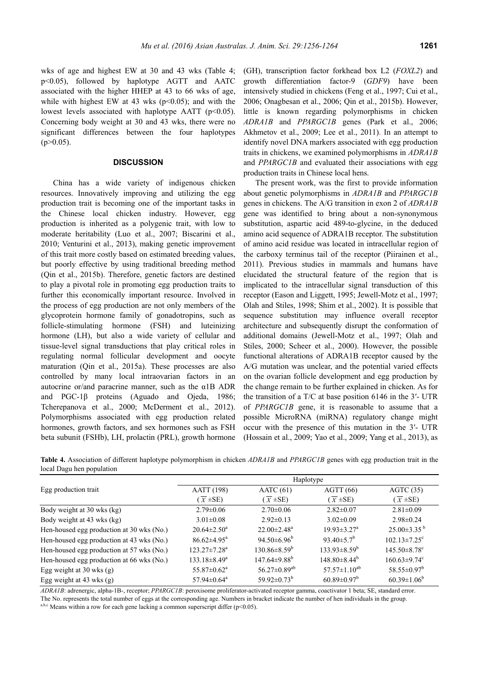wks of age and highest EW at 30 and 43 wks (Table 4; p<0.05), followed by haplotype AGTT and AATC associated with the higher HHEP at 43 to 66 wks of age, while with highest EW at 43 wks ( $p<0.05$ ); and with the lowest levels associated with haplotype AATT  $(p<0.05)$ . Concerning body weight at 30 and 43 wks, there were no significant differences between the four haplotypes  $(p>0.05)$ .

# **DISCUSSION**

China has a wide variety of indigenous chicken resources. Innovatively improving and utilizing the egg production trait is becoming one of the important tasks in the Chinese local chicken industry. However, egg production is inherited as a polygenic trait, with low to moderate heritability (Luo et al., 2007; Biscarini et al., 2010; Venturini et al., 2013), making genetic improvement of this trait more costly based on estimated breeding values, but poorly effective by using traditional breeding method (Qin et al., 2015b). Therefore, genetic factors are destined to play a pivotal role in promoting egg production traits to further this economically important resource. Involved in the process of egg production are not only members of the glycoprotein hormone family of gonadotropins, such as follicle-stimulating hormone (FSH) and luteinizing hormone (LH), but also a wide variety of cellular and tissue-level signal transductions that play critical roles in regulating normal follicular development and oocyte maturation (Qin et al., 2015a). These processes are also controlled by many local intraovarian factors in an autocrine or/and paracrine manner, such as the α1B ADR and PGC-1β proteins (Aguado and Ojeda, 1986; Tcherepanova et al., 2000; McDerment et al., 2012). Polymorphisms associated with egg production related hormones, growth factors, and sex hormones such as FSH beta subunit (FSHb), LH, prolactin (PRL), growth hormone

(GH), transcription factor forkhead box L2 (*FOXL2*) and growth differentiation factor-9 (*GDF9*) have been intensively studied in chickens (Feng et al., 1997; Cui et al., 2006; Onagbesan et al., 2006; Qin et al., 2015b). However, little is known regarding polymorphisms in chicken *ADRA1B* and *PPARGC1B* genes (Park et al., 2006; Akhmetov et al., 2009; Lee et al., 2011). In an attempt to identify novel DNA markers associated with egg production traits in chickens, we examined polymorphisms in *ADRA1B* and *PPARGC1B* and evaluated their associations with egg production traits in Chinese local hens.

The present work, was the first to provide information about genetic polymorphisms in *ADRA1B* and *PPARGC1B*  genes in chickens. The A/G transition in exon 2 of *ADRA1B* gene was identified to bring about a non-synonymous substitution, aspartic acid 489-to-glycine, in the deduced amino acid sequence of ADRA1B receptor. The substitution of amino acid residue was located in intracellular region of the carboxy terminus tail of the receptor (Piirainen et al., 2011). Previous studies in mammals and humans have elucidated the structural feature of the region that is implicated to the intracellular signal transduction of this receptor (Eason and Liggett, 1995; Jewell-Motz et al., 1997; Olah and Stiles, 1998; Shim et al., 2002). It is possible that sequence substitution may influence overall receptor architecture and subsequently disrupt the conformation of additional domains (Jewell-Motz et al., 1997; Olah and Stiles, 2000; Scheer et al., 2000). However, the possible functional alterations of ADRA1B receptor caused by the A/G mutation was unclear, and the potential varied effects on the ovarian follicle development and egg production by the change remain to be further explained in chicken. As for the transition of a T/C at base position 6146 in the 3′- UTR of *PPARGC1B* gene, it is reasonable to assume that a possible MicroRNA (miRNA) regulatory change might occur with the presence of this mutation in the 3′- UTR (Hossain et al., 2009; Yao et al., 2009; Yang et al., 2013), as

**Table 4.** Association of different haplotype polymorphism in chicken *ADRA1B* and *PPARGC1B* genes with egg production trait in the local Dagu hen population

|                                           | Haplotype                     |                                |                               |                                |  |
|-------------------------------------------|-------------------------------|--------------------------------|-------------------------------|--------------------------------|--|
| Egg production trait                      | <b>AATT</b> (198)             | AATC(61)                       | AGTT(66)                      | AGTC(35)                       |  |
|                                           | $(\overline{X} \pm SE)$       | $(\overline{X} \pm SE)$        | $(\overline{X} \pm SE)$       | $(\overline{X} \pm SE)$        |  |
| Body weight at 30 wks (kg)                | $2.79 \pm 0.06$               | $2.70 \pm 0.06$                | $2.82 \pm 0.07$               | $2.81 \pm 0.09$                |  |
| Body weight at 43 wks (kg)                | $3.01 \pm 0.08$               | $2.92 \pm 0.13$                | $3.02 \pm 0.09$               | $2.98 \pm 0.24$                |  |
| Hen-housed egg production at 30 wks (No.) | $20.64 \pm 2.50^a$            | $22.00 \pm 2.48$ <sup>a</sup>  | $19.93 \pm 3.27$ <sup>a</sup> | $25.00\pm3.35^{b}$             |  |
| Hen-housed egg production at 43 wks (No.) | $86.62{\pm}4.95^{\text{a}}$   | $94.50\pm6.96^b$               | 93.40 $\pm$ 5.7 <sup>b</sup>  | $102.13 \pm 7.25$ <sup>c</sup> |  |
| Hen-housed egg production at 57 wks (No.) | $123.27 \pm 7.28^a$           | $130.86 \pm 8.59^b$            | $133.93 \pm 8.59^b$           | $145.50 \pm 8.78$ <sup>c</sup> |  |
| Hen-housed egg production at 66 wks (No.) | $133.18 \pm 8.49^a$           | $147.64 \pm 9.88$ <sup>b</sup> | $148.80 \pm 8.44^b$           | $160.63 \pm 9.74$ <sup>c</sup> |  |
| Egg weight at $30$ wks (g)                | $55.87 \pm 0.62^{\text{a}}$   | $56.27 \pm 0.89^{ab}$          | $57.57 \pm 1.10^{ab}$         | $58.55 \pm 0.97^b$             |  |
| Egg weight at $43$ wks $(g)$              | $57.94 \pm 0.64$ <sup>a</sup> | 59.92 $\pm$ 0.73 <sup>b</sup>  | $60.89 \pm 0.97^b$            | $60.39 \pm 1.06^b$             |  |

*ADRA1B*: adrenergic, alpha-1B-, receptor; *PPARGC1B*: peroxisome proliferator-activated receptor gamma, coactivator 1 beta; SE, standard error. The No. represents the total number of eggs at the corresponding age. Numbers in bracket indicate the number of hen individuals in the group.

a,b,c Means within a row for each gene lacking a common superscript differ ( $p$ <0.05).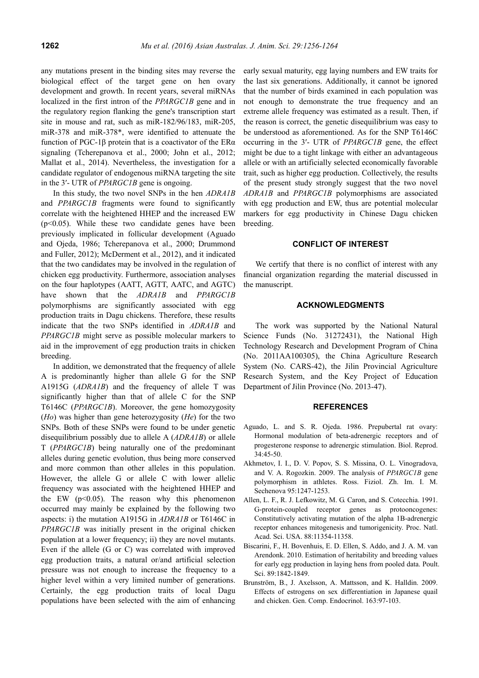any mutations present in the binding sites may reverse the biological effect of the target gene on hen ovary development and growth. In recent years, several miRNAs localized in the first intron of the *PPARGC1B* gene and in the regulatory region flanking the gene's transcription start site in mouse and rat, such as miR-182/96/183, miR-205, miR-378 and miR-378\*, were identified to attenuate the function of PGC-1β protein that is a coactivator of the ERα signaling (Tcherepanova et al., 2000; John et al., 2012; Mallat et al., 2014). Nevertheless, the investigation for a candidate regulator of endogenous miRNA targeting the site in the 3′- UTR of *PPARGC1B* gene is ongoing.

In this study, the two novel SNPs in the hen *ADRA1B* and *PPARGC1B* fragments were found to significantly correlate with the heightened HHEP and the increased EW  $(p<0.05)$ . While these two candidate genes have been previously implicated in follicular development (Aguado and Ojeda, 1986; Tcherepanova et al., 2000; Drummond and Fuller, 2012); McDerment et al., 2012), and it indicated that the two candidates may be involved in the regulation of chicken egg productivity. Furthermore, association analyses on the four haplotypes (AATT, AGTT, AATC, and AGTC) have shown that the *ADRA1B* and *PPARGC1B* polymorphisms are significantly associated with egg production traits in Dagu chickens. Therefore, these results indicate that the two SNPs identified in *ADRA1B* and *PPARGC1B* might serve as possible molecular markers to aid in the improvement of egg production traits in chicken breeding.

In addition, we demonstrated that the frequency of allele A is predominantly higher than allele G for the SNP A1915G (*ADRA1B*) and the frequency of allele T was significantly higher than that of allele C for the SNP T6146C (*PPARGC1B*). Moreover, the gene homozygosity (*Ho*) was higher than gene heterozygosity (*He*) for the two SNPs. Both of these SNPs were found to be under genetic disequilibrium possibly due to allele A (*ADRA1B*) or allele T (*PPARGC1B*) being naturally one of the predominant alleles during genetic evolution, thus being more conserved and more common than other alleles in this population. However, the allele G or allele C with lower allelic frequency was associated with the heightened HHEP and the EW  $(p<0.05)$ . The reason why this phenomenon occurred may mainly be explained by the following two aspects: i) the mutation A1915G in *ADRA1B* or T6146C in *PPARGC1B* was initially present in the original chicken population at a lower frequency; ii) they are novel mutants. Even if the allele (G or C) was correlated with improved egg production traits, a natural or/and artificial selection pressure was not enough to increase the frequency to a higher level within a very limited number of generations. Certainly, the egg production traits of local Dagu populations have been selected with the aim of enhancing early sexual maturity, egg laying numbers and EW traits for the last six generations. Additionally, it cannot be ignored that the number of birds examined in each population was not enough to demonstrate the true frequency and an extreme allele frequency was estimated as a result. Then, if the reason is correct, the genetic disequilibrium was easy to be understood as aforementioned. As for the SNP T6146C occurring in the 3′- UTR of *PPARGC1B* gene, the effect might be due to a tight linkage with either an advantageous allele or with an artificially selected economically favorable trait, such as higher egg production. Collectively, the results of the present study strongly suggest that the two novel *ADRA1B* and *PPARGC1B* polymorphisms are associated with egg production and EW, thus are potential molecular markers for egg productivity in Chinese Dagu chicken breeding.

## **CONFLICT OF INTEREST**

We certify that there is no conflict of interest with any financial organization regarding the material discussed in the manuscript.

## **ACKNOWLEDGMENTS**

The work was supported by the National Natural Science Funds (No. 31272431), the National High Technology Research and Development Program of China (No. 2011AA100305), the China Agriculture Research System (No. CARS-42), the Jilin Provincial Agriculture Research System, and the Key Project of Education Department of Jilin Province (No. 2013-47).

## **REFERENCES**

- Aguado, L. and S. R. Ojeda. 1986. Prepubertal rat ovary: Hormonal modulation of beta-adrenergic receptors and of progesterone response to adrenergic stimulation. Biol. Reprod. 34:45-50.
- Akhmetov, I. I., D. V. Popov, S. S. Missina, O. L. Vinogradova, and V. A. Rogozkin. 2009. The analysis of *PPARGC1B* gene polymorphism in athletes. Ross. Fiziol. Zh. Im. I. M. Sechenova 95:1247-1253.
- Allen, L. F., R. J. Lefkowitz, M. G. Caron, and S. Cotecchia. 1991. G-protein-coupled receptor genes as protooncogenes: Constitutively activating mutation of the alpha 1B-adrenergic receptor enhances mitogenesis and tumorigenicity. Proc. Natl. Acad. Sci. USA. 88:11354-11358.
- Biscarini, F., H. Bovenhuis, E. D. Ellen, S. Addo, and J. A. M. van Arendonk. 2010. Estimation of heritability and breeding values for early egg production in laying hens from pooled data. Poult. Sci. 89:1842-1849.
- Brunström, B., J. Axelsson, A. Mattsson, and K. Halldin. 2009. Effects of estrogens on sex differentiation in Japanese quail and chicken. Gen. Comp. Endocrinol. 163:97-103.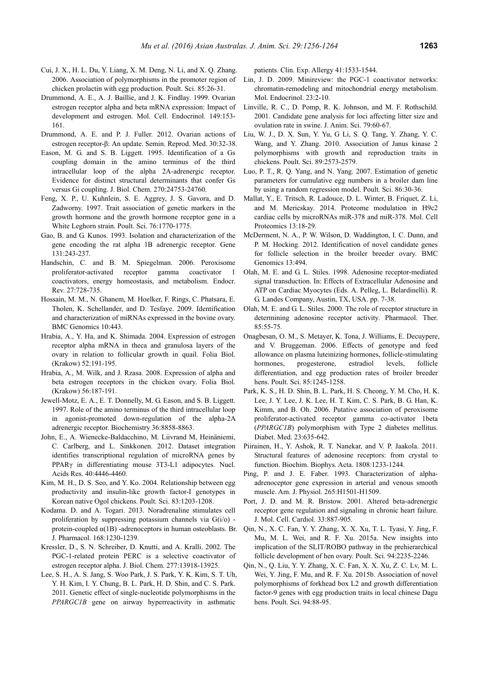- Cui, J. X., H. L. Du, Y. Liang, X. M. Deng, N. Li, and X. Q. Zhang.
	- 2006. Association of polymorphisms in the promoter region of chicken prolactin with egg production. Poult. Sci. 85:26-31.
- Drummond, A. E., A. J. Baillie, and J. K. Findlay. 1999. Ovarian estrogen receptor alpha and beta mRNA expression: Impact of development and estrogen. Mol. Cell. Endocrinol. 149:153- 161.
- Drummond, A. E. and P. J. Fuller. 2012. Ovarian actions of estrogen receptor-β: An update. Semin. Reprod. Med. 30:32-38.
- Eason, M. G. and S. B. Liggett. 1995. Identification of a Gs coupling domain in the amino terminus of the third intracellular loop of the alpha 2A-adrenergic receptor. Evidence for distinct structural determinants that confer Gs versus Gi coupling. J. Biol. Chem. 270:24753-24760.
- Feng, X. P., U. Kuhnlein, S. E. Aggrey, J. S. Gavora, and D. Zadworny. 1997. Trait association of genetic markers in the growth hormone and the growth hormone receptor gene in a White Leghorn strain. Poult. Sci. 76:1770-1775.
- Gao, B. and G. Kunos. 1993. Isolation and characterization of the gene encoding the rat alpha 1B adrenergic receptor. Gene 131:243-237.
- Handschin, C. and B. M. Spiegelman. 2006. Peroxisome proliferator-activated receptor gamma coactivator 1 coactivators, energy homeostasis, and metabolism. Endocr. Rev. 27:728-735.
- Hossain, M. M., N. Ghanem, M. Hoelker, F. Rings, C. Phatsara, E. Tholen, K. Schellander, and D. Tesfaye. 2009. Identification and characterization of miRNAs expressed in the bovine ovary. BMC Genomics 10:443.
- Hrabia, A., Y. Ha, and K. Shimada. 2004. Expression of estrogen receptor alpha mRNA in theca and granulosa layers of the ovary in relation to follicular growth in quail. Folia Biol. (Krakow) 52:191-195.
- Hrabia, A., M. Wilk, and J. Rzasa. 2008. Expression of alpha and beta estrogen receptors in the chicken ovary. Folia Biol. (Krakow) 56:187-191.
- Jewell-Motz, E. A., E. T. Donnelly, M. G. Eason, and S. B. Liggett. 1997. Role of the amino terminus of the third intracellular loop in agonist-promoted down-regulation of the alpha-2A adrenergic receptor. Biochemistry 36:8858-8863.
- John, E., A. Wienecke-Baldacchino, M. Liivrand M, Heinäniemi, C. Carlberg, and L. Sinkkonen. 2012. Dataset integration identifies transcriptional regulation of microRNA genes by PPARγ in differentiating mouse 3T3-L1 adipocytes. Nucl. Acids Res. 40:4446-4460.
- Kim, M. H., D. S. Seo, and Y. Ko. 2004. Relationship between egg productivity and insulin-like growth factor-I genotypes in Korean native Ogol chickens. Poult. Sci. 83:1203-1208.
- Kodama. D. and A. Togari. 2013. Noradrenaline stimulates cell proliferation by suppressing potassium channels via  $G(i/\sigma)$  protein-coupled  $\alpha$ (1B) -adrenoceptors in human osteoblasts. Br. J. Pharmacol. 168:1230-1239.
- Kressler, D., S. N. Schreiber, D. Knutti, and A. Kralli. 2002. The PGC-1-related protein PERC is a selective coactivator of estrogen receptor alpha. J. Biol. Chem. 277:13918-13925.
- Lee, S. H., A. S. Jang, S. Woo Park, J. S. Park, Y. K. Kim, S. T. Uh, Y. H. Kim, I. Y. Chung, B. L. Park, H. D. Shin, and C. S. Park. 2011. Genetic effect of single-nucleotide polymorphisms in the *PPARGC1B* gene on airway hyperreactivity in asthmatic

patients. Clin. Exp. Allergy 41:1533-1544.

- Lin, J. D. 2009. Minireview: the PGC-1 coactivator networks: chromatin-remodeling and mitochondrial energy metabolism. Mol. Endocrinol. 23:2-10.
- Linville, R. C., D. Pomp, R. K. Johnson, and M. F. Rothschild. 2001. Candidate gene analysis for loci affecting litter size and ovulation rate in swine. J. Anim. Sci. 79:60-67.
- Liu, W. J., D. X. Sun, Y. Yu, G Li, S. Q. Tang, Y. Zhang, Y. C. Wang, and Y. Zhang. 2010. Association of Janus kinase 2 polymorphisms with growth and reproduction traits in chickens. Poult. Sci. 89:2573-2579.
- Luo, P. T., R. Q. Yang, and N. Yang. 2007. Estimation of genetic parameters for cumulative egg numbers in a broiler dam line by using a random regression model. Poult. Sci. 86:30-36.
- Mallat, Y., E. Tritsch, R. Ladouce, D. L. Winter, B. Friquet, Z. Li, and M. Mericskay. 2014. Proteome modulation in H9c2 cardiac cells by microRNAs miR-378 and miR-378. Mol. Cell Proteomics 13:18-29.
- McDerment, N. A., P. W. Wilson, D. Waddington, I. C. Dunn, and P. M. Hocking. 2012. Identification of novel candidate genes for follicle selection in the broiler breeder ovary. BMC Genomics 13:494.
- Olah, M. E. and G. L. Stiles. 1998. Adenosine receptor-mediated signal transduction. In: Effects of Extracellular Adenosine and ATP on Cardiac Myocytes (Eds. A. Pelleg, L. Belardinelli). R. G. Landes Company, Austin, TX, USA. pp. 7-38.
- Olah, M. E. and G. L. Stiles. 2000. The role of receptor structure in determining adenosine receptor activity. Pharmacol. Ther. 85:55-75.
- Onagbesan, O. M., S. Metayer, K. Tona, J. Williams, E. Decuypere, and V. Bruggeman. 2006. Effects of genotype and feed allowance on plasma luteinizing hormones, follicle-stimulating hormones, progesterone, estradiol levels, follicle differentiation, and egg production rates of broiler breeder hens. Poult. Sci. 85:1245-1258.
- Park, K. S., H. D. Shin, B. L. Park, H. S. Cheong, Y. M. Cho, H. K. Lee, J. Y. Lee, J. K. Lee, H. T. Kim, C. S. Park, B. G. Han, K. Kimm, and B. Oh. 2006. Putative association of peroxisome proliferator-activated receptor gamma co-activator 1beta (*PPARGC1B*) polymorphism with Type 2 diabetes mellitus. Diabet. Med. 23:635-642.
- Piirainen, H., Y. Ashok, R. T. Nanekar, and V. P. Jaakola. 2011. Structural features of adenosine receptors: from crystal to function. Biochim. Biophys. Acta. 1808:1233-1244.
- Ping, P. and J. E. Faber. 1993. Characterization of alphaadrenoceptor gene expression in arterial and venous smooth muscle. Am. J. Physiol. 265:H1501-H1509.
- Port, J. D. and M. R. Bristow. 2001. Altered beta-adrenergic receptor gene regulation and signaling in chronic heart failure. J. Mol. Cell. Cardiol. 33:887-905.
- Qin, N., X. C. Fan, Y. Y. Zhang, X. X. Xu, T. L. Tyasi, Y. Jing, F. Mu, M. L. Wei, and R. F. Xu. 2015a. New insights into implication of the SLIT/ROBO pathway in the prehierarchical follicle development of hen ovary. Poult. Sci. 94:2235-2246.
- Qin, N., Q. Liu, Y. Y. Zhang, X. C. Fan, X. X. Xu, Z. C. Lv, M. L. Wei, Y. Jing, F. Mu, and R. F. Xu. 2015b. Association of novel polymorphisms of forkhead box L2 and growth differentiation factor-9 genes with egg production traits in local chinese Dagu hens. Poult. Sci. 94:88-95.